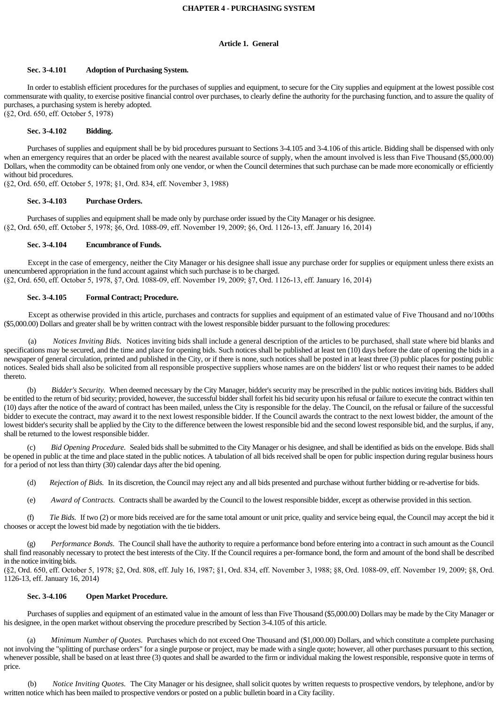## **CHAPTER 4 - PURCHASING SYSTEM**

## **Article 1. General**

#### **Sec. 3-4.101 Adoption of Purchasing System.**

 In order to establish efficient procedures for the purchases of supplies and equipment, to secure for the City supplies and equipment at the lowest possible cost commensurate with quality, to exercise positive financial control over purchases, to clearly define the authority for the purchasing function, and to assure the quality of purchases, a purchasing system is hereby adopted. (§2, Ord. 650, eff. October 5, 1978)

## **Sec. 3-4.102 Bidding.**

 Purchases of supplies and equipment shall be by bid procedures pursuant to Sections 3-4.105 and 3-4.106 of this article. Bidding shall be dispensed with only when an emergency requires that an order be placed with the nearest available source of supply, when the amount involved is less than Five Thousand (\$5,000.00) Dollars, when the commodity can be obtained from only one vendor, or when the Council determines that such purchase can be made more economically or efficiently without bid procedures.

(§2, Ord. 650, eff. October 5, 1978; §1, Ord. 834, eff. November 3, 1988)

#### **Sec. 3-4.103 Purchase Orders.**

 Purchases of supplies and equipment shall be made only by purchase order issued by the City Manager or his designee. (§2, Ord. 650, eff. October 5, 1978; §6, Ord. 108809, eff. November 19, 2009; §6, Ord. 112613, eff. January 16, 2014)

#### **Sec. 3-4.104 Encumbrance of Funds.**

 Except in the case of emergency, neither the City Manager or his designee shall issue any purchase order for supplies or equipment unless there exists an unencumbered appropriation in the fund account against which such purchase is to be charged. (§2, Ord. 650, eff. October 5, 1978, §7, Ord. 108809, eff. November 19, 2009; §7, Ord. 112613, eff. January 16, 2014)

## **Sec. 3-4.105 Formal Contract; Procedure.**

Except as otherwise provided in this article, purchases and contracts for supplies and equipment of an estimated value of Five Thousand and no/100ths (\$5,000.00) Dollars and greater shall be by written contract with the lowest responsible bidder pursuant to the following procedures:

 (a) *Notices Inviting Bids.* Notices inviting bids shall include a general description of the articles to be purchased, shall state where bid blanks and specifications may be secured, and the time and place for opening bids. Such notices shall be published at least ten (10) days before the date of opening the bids in a newspaper of general circulation, printed and published in the City, or if there is none, such notices shall be posted in at least three (3) public places for posting public notices. Sealed bids shall also be solicited from all responsible prospective suppliers whose names are on the bidders' list or who request their names to be added thereto.

 (b) *Bidder's Security.* When deemed necessary by the City Manager, bidder's security may be prescribed in the public notices inviting bids. Bidders shall be entitled to the return of bid security; provided, however, the successful bidder shall forfeit his bid security upon his refusal or failure to execute the contract within ten (10) days after the notice of the award of contract has been mailed, unless the City is responsible for the delay. The Council, on the refusal or failure of the successful bidder to execute the contract, may award it to the next lowest responsible bidder. If the Council awards the contract to the next lowest bidder, the amount of the lowest bidder's security shall be applied by the City to the difference between the lowest responsible bid and the second lowest responsible bid, and the surplus, if any, shall be returned to the lowest responsible bidder.

 (c) *Bid Opening Procedure.* Sealed bids shall be submitted to the City Manager or his designee, and shall be identified as bids on the envelope. Bids shall be opened in public at the time and place stated in the public notices. A tabulation of all bids received shall be open for public inspection during regular business hours for a period of not less than thirty (30) calendar days after the bid opening.

(d) *Rejection of Bids.* In its discretion, the Council may reject any and all bids presented and purchase without further bidding or re-advertise for bids.

(e) *Award of Contracts.* Contracts shall be awarded by the Council to the lowest responsible bidder, except as otherwise provided in this section.

 (f) *Tie Bids.* If two (2) or more bids received are for the same total amount or unit price, quality and service being equal, the Council may accept the bid it chooses or accept the lowest bid made by negotiation with the tie bidders.

 (g) *Performance Bonds.* The Council shall have the authority to require a performance bond before entering into a contract in such amount as the Council shall find reasonably necessary to protect the best interests of the City. If the Council requires a per-formance bond, the form and amount of the bond shall be described in the notice inviting bids.

(§2, Ord. 650, eff. October 5, 1978; §2, Ord. 808, eff. July 16, 1987; §1, Ord. 834, eff. November 3, 1988; §8, Ord. 1088-09, eff. November 19, 2009; §8, Ord. 1126-13, eff. January 16, 2014)

#### **Sec. 3-4.106 Open Market Procedure.**

 Purchases of supplies and equipment of an estimated value in the amount of less than Five Thousand (\$5,000.00) Dollars may be made by the City Manager or his designee, in the open market without observing the procedure prescribed by Section 3-4.105 of this article.

 (a) *Minimum Number of Quotes.* Purchases which do not exceed One Thousand and (\$1,000.00) Dollars, and which constitute a complete purchasing not involving the "splitting of purchase orders" for a single purpose or project, may be made with a single quote; however, all other purchases pursuant to this section, whenever possible, shall be based on at least three (3) quotes and shall be awarded to the firm or individual making the lowest responsible, responsive quote in terms of price.

 (b) *Notice Inviting Quotes.* The City Manager or his designee, shall solicit quotes by written requests to prospective vendors, by telephone, and/or by written notice which has been mailed to prospective vendors or posted on a public bulletin board in a City facility.